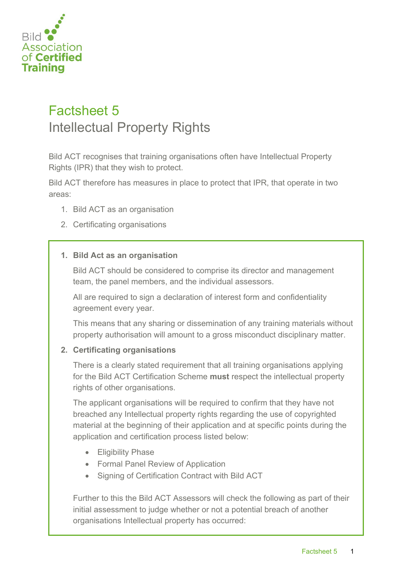

## Factsheet 5 Intellectual Property Rights

Bild ACT recognises that training organisations often have Intellectual Property Rights (IPR) that they wish to protect.

Bild ACT therefore has measures in place to protect that IPR, that operate in two areas:

- 1. Bild ACT as an organisation
- 2. Certificating organisations

## **1. Bild Act as an organisation**

Bild ACT should be considered to comprise its director and management team, the panel members, and the individual assessors.

All are required to sign a declaration of interest form and confidentiality agreement every year.

This means that any sharing or dissemination of any training materials without property authorisation will amount to a gross misconduct disciplinary matter.

## **2. Certificating organisations**

There is a clearly stated requirement that all training organisations applying for the Bild ACT Certification Scheme **must** respect the intellectual property rights of other organisations.

The applicant organisations will be required to confirm that they have not breached any Intellectual property rights regarding the use of copyrighted material at the beginning of their application and at specific points during the application and certification process listed below:

- Eligibility Phase
- Formal Panel Review of Application
- Signing of Certification Contract with Bild ACT

Further to this the Bild ACT Assessors will check the following as part of their initial assessment to judge whether or not a potential breach of another organisations Intellectual property has occurred: